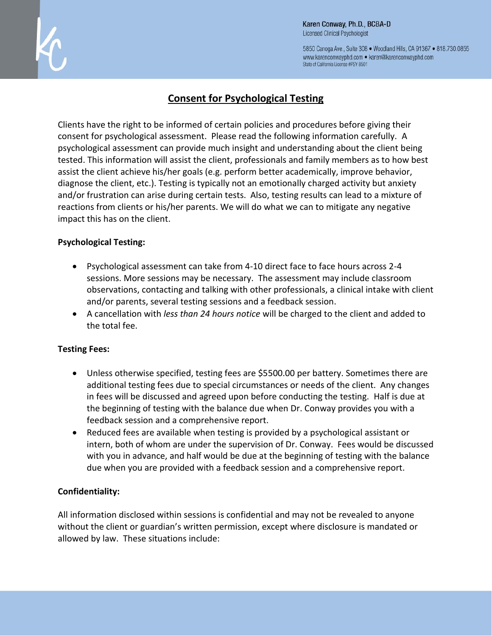

5850 Canoga Ave., Suite 308 . Woodland Hills, CA 91367 . 818.730.0855 www.karenconwayphd.com . karen@karenconwayphd.com State of California License #PSY 8501

# **Consent for Psychological Testing**

Clients have the right to be informed of certain policies and procedures before giving their consent for psychological assessment. Please read the following information carefully. A psychological assessment can provide much insight and understanding about the client being tested. This information will assist the client, professionals and family members as to how best assist the client achieve his/her goals (e.g. perform better academically, improve behavior, diagnose the client, etc.). Testing is typically not an emotionally charged activity but anxiety and/or frustration can arise during certain tests. Also, testing results can lead to a mixture of reactions from clients or his/her parents. We will do what we can to mitigate any negative impact this has on the client.

### **Psychological Testing:**

- Psychological assessment can take from 4-10 direct face to face hours across 2-4 sessions. More sessions may be necessary. The assessment may include classroom observations, contacting and talking with other professionals, a clinical intake with client and/or parents, several testing sessions and a feedback session.
- A cancellation with *less than 24 hours notice* will be charged to the client and added to the total fee.

## **Testing Fees:**

- Unless otherwise specified, testing fees are \$5500.00 per battery. Sometimes there are additional testing fees due to special circumstances or needs of the client. Any changes in fees will be discussed and agreed upon before conducting the testing. Half is due at the beginning of testing with the balance due when Dr. Conway provides you with a feedback session and a comprehensive report.
- Reduced fees are available when testing is provided by a psychological assistant or intern, both of whom are under the supervision of Dr. Conway. Fees would be discussed with you in advance, and half would be due at the beginning of testing with the balance due when you are provided with a feedback session and a comprehensive report.

## **Confidentiality:**

All information disclosed within sessions is confidential and may not be revealed to anyone without the client or guardian's written permission, except where disclosure is mandated or allowed by law. These situations include: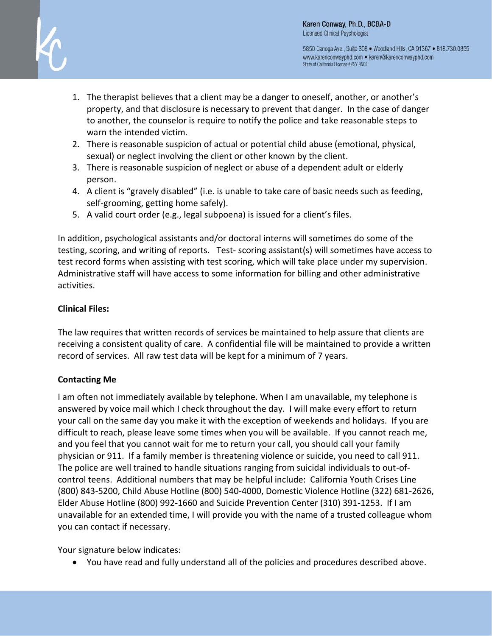

5850 Canoga Ave., Suite 308 . Woodland Hills, CA 91367 . 818.730.0855 www.karenconwayphd.com . karen@karenconwayphd.com State of California License #PSY 8501

- 1. The therapist believes that a client may be a danger to oneself, another, or another's property, and that disclosure is necessary to prevent that danger. In the case of danger to another, the counselor is require to notify the police and take reasonable steps to warn the intended victim.
- 2. There is reasonable suspicion of actual or potential child abuse (emotional, physical, sexual) or neglect involving the client or other known by the client.
- 3. There is reasonable suspicion of neglect or abuse of a dependent adult or elderly person.
- 4. A client is "gravely disabled" (i.e. is unable to take care of basic needs such as feeding, self-grooming, getting home safely).
- 5. A valid court order (e.g., legal subpoena) is issued for a client's files.

In addition, psychological assistants and/or doctoral interns will sometimes do some of the testing, scoring, and writing of reports. Test- scoring assistant(s) will sometimes have access to test record forms when assisting with test scoring, which will take place under my supervision. Administrative staff will have access to some information for billing and other administrative activities.

## **Clinical Files:**

The law requires that written records of services be maintained to help assure that clients are receiving a consistent quality of care. A confidential file will be maintained to provide a written record of services. All raw test data will be kept for a minimum of 7 years.

## **Contacting Me**

I am often not immediately available by telephone. When I am unavailable, my telephone is answered by voice mail which I check throughout the day. I will make every effort to return your call on the same day you make it with the exception of weekends and holidays. If you are difficult to reach, please leave some times when you will be available. If you cannot reach me, and you feel that you cannot wait for me to return your call, you should call your family physician or 911. If a family member is threatening violence or suicide, you need to call 911. The police are well trained to handle situations ranging from suicidal individuals to out-ofcontrol teens. Additional numbers that may be helpful include: California Youth Crises Line (800) 843-5200, Child Abuse Hotline (800) 540-4000, Domestic Violence Hotline (322) 681-2626, Elder Abuse Hotline (800) 992-1660 and Suicide Prevention Center (310) 391-1253. If I am unavailable for an extended time, I will provide you with the name of a trusted colleague whom you can contact if necessary.

Your signature below indicates:

You have read and fully understand all of the policies and procedures described above.